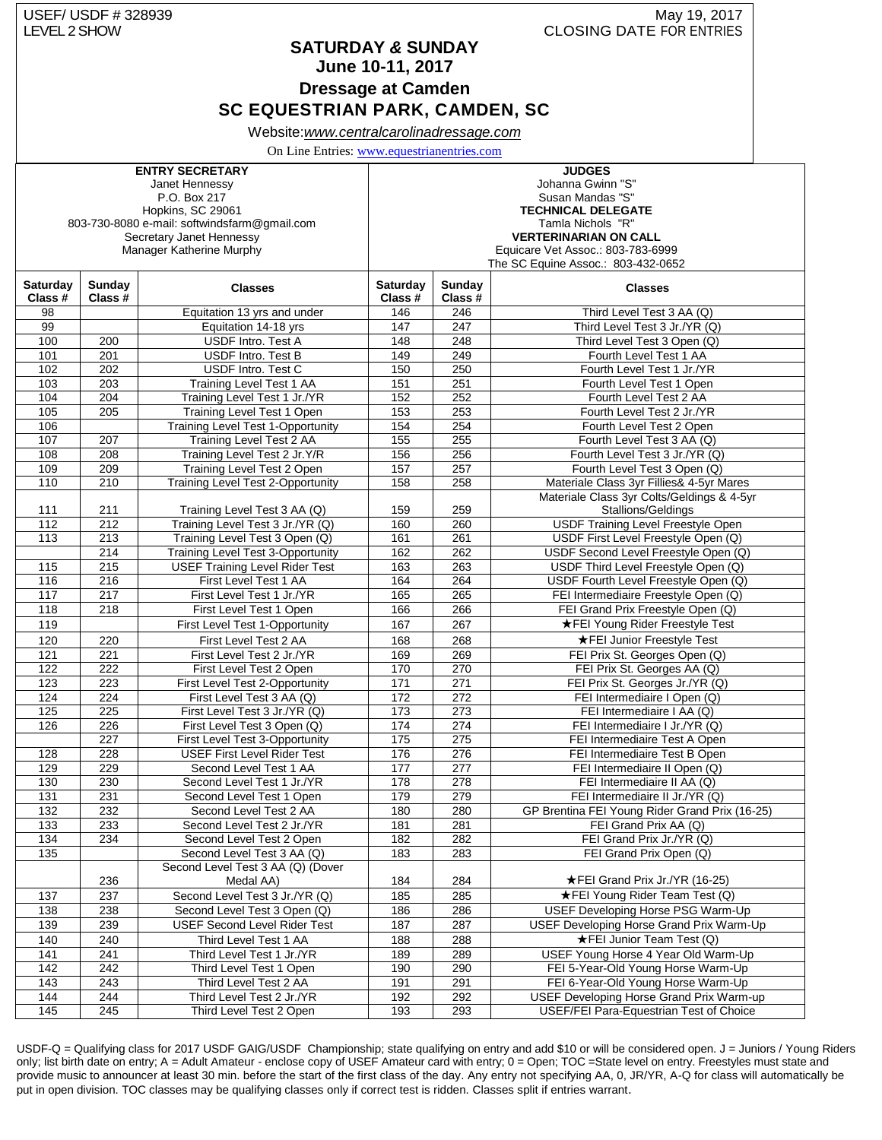## USEF/ USDF # 328939 May 19, 2017 LEVEL 2 SHOW CLOSING DATE FOR ENTRIES

# **SATURDAY** *&* **SUNDAY**

**June 10-11, 2017**

**Dressage at Camden**

**SC EQUESTRIAN PARK, CAMDEN, SC**

Website:*[www.centralcarolinadressage.com](http://www.centralcarolinadressage.com/)*

On Line Entries: [www.equestrianentries.com](http://www.equestrianentries.com/)

|                            |                         | <b>ENTRY SECRETARY</b>                                       |                            |                   | <b>JUDGES</b>                                                   |
|----------------------------|-------------------------|--------------------------------------------------------------|----------------------------|-------------------|-----------------------------------------------------------------|
|                            |                         | Janet Hennessy                                               |                            |                   | Johanna Gwinn "S"                                               |
|                            |                         | P.O. Box 217                                                 |                            |                   | Susan Mandas "S"                                                |
|                            |                         | Hopkins, SC 29061                                            |                            |                   | <b>TECHNICAL DELEGATE</b>                                       |
|                            |                         | 803-730-8080 e-mail: softwindsfarm@gmail.com                 |                            |                   | Tamla Nichols "R"                                               |
|                            |                         | Secretary Janet Hennessy                                     |                            |                   | <b>VERTERINARIAN ON CALL</b>                                    |
|                            |                         | Manager Katherine Murphy                                     |                            |                   | Equicare Vet Assoc.: 803-783-6999                               |
|                            |                         |                                                              |                            |                   | The SC Equine Assoc.: 803-432-0652                              |
| <b>Saturday</b><br>Class # | Sunday<br>Class #       | <b>Classes</b>                                               | <b>Saturday</b><br>Class # | Sunday<br>Class # | <b>Classes</b>                                                  |
| 98                         |                         | Equitation 13 yrs and under                                  | 146                        | 246               | Third Level Test 3 AA (Q)                                       |
| 99                         |                         | Equitation 14-18 yrs                                         | 147                        | $\overline{247}$  | Third Level Test 3 Jr./YR (Q)                                   |
| 100                        | 200                     | <b>USDF Intro. Test A</b>                                    | 148                        | 248               | Third Level Test 3 Open (Q)                                     |
| 101                        | 201                     | USDF Intro. Test B                                           | 149                        | 249               | Fourth Level Test 1 AA                                          |
| 102                        | 202                     | USDF Intro. Test C                                           | 150                        | 250               | Fourth Level Test 1 Jr./YR                                      |
| 103                        | 203                     | Training Level Test 1 AA                                     | 151                        | 251               | Fourth Level Test 1 Open                                        |
| 104                        | 204                     | Training Level Test 1 Jr./YR                                 | 152                        | 252               | Fourth Level Test 2 AA                                          |
| 105                        | 205                     | Training Level Test 1 Open                                   | 153                        | 253               | Fourth Level Test 2 Jr./YR                                      |
| 106                        |                         | Training Level Test 1-Opportunity                            | 154                        | 254               | Fourth Level Test 2 Open                                        |
| 107                        | 207                     | Training Level Test 2 AA                                     | 155                        | 255               | Fourth Level Test 3 AA (Q)                                      |
| 108                        | 208                     | Training Level Test 2 Jr.Y/R                                 | 156                        | 256               | Fourth Level Test 3 Jr./YR (Q)                                  |
| 109                        | 209                     | Training Level Test 2 Open                                   | 157                        | 257               | Fourth Level Test 3 Open (Q)                                    |
| 110                        | 210                     | <b>Training Level Test 2-Opportunity</b>                     | 158                        | 258               | Materiale Class 3yr Fillies& 4-5yr Mares                        |
|                            |                         |                                                              |                            |                   | Materiale Class 3yr Colts/Geldings & 4-5yr                      |
| 111                        | 211                     | Training Level Test 3 AA (Q)                                 | 159                        | 259               | Stallions/Geldings                                              |
| 112                        | 212                     | Training Level Test 3 Jr./YR (Q)                             | 160                        | 260               | USDF Training Level Freestyle Open                              |
| 113                        | 213                     | Training Level Test 3 Open (Q)                               | 161                        | 261               | USDF First Level Freestyle Open (Q)                             |
|                            | 214                     | <b>Training Level Test 3-Opportunity</b>                     | 162                        | 262               | USDF Second Level Freestyle Open (Q)                            |
| 115                        | 215                     | <b>USEF Training Level Rider Test</b>                        | 163                        | 263               | USDF Third Level Freestyle Open (Q)                             |
| 116                        | 216                     | First Level Test 1 AA                                        | 164                        | 264               | USDF Fourth Level Freestyle Open (Q)                            |
| 117                        | 217                     | First Level Test 1 Jr./YR                                    | 165                        | 265               | FEI Intermediaire Freestyle Open (Q)                            |
| 118                        | 218                     | First Level Test 1 Open                                      | 166                        | 266               | FEI Grand Prix Freestyle Open (Q)                               |
| 119                        |                         | First Level Test 1-Opportunity                               | 167                        | 267               | ★FEI Young Rider Freestyle Test                                 |
|                            |                         |                                                              |                            |                   | ★FEI Junior Freestyle Test                                      |
| 120                        | 220                     | First Level Test 2 AA                                        | 168                        | 268               |                                                                 |
| 121                        | 221                     | First Level Test 2 Jr./YR                                    | 169                        | 269               | FEI Prix St. Georges Open (Q)                                   |
| 122                        | 222                     | First Level Test 2 Open                                      | 170                        | 270               | FEI Prix St. Georges AA (Q)                                     |
| 123                        | 223<br>224              | First Level Test 2-Opportunity                               | 171                        | 271<br>272        | FEI Prix St. Georges Jr./YR (Q)                                 |
| 124                        |                         | First Level Test 3 AA (Q)                                    | 172                        |                   | FEI Intermediaire I Open (Q)                                    |
| 125                        | 225                     | First Level Test 3 Jr./YR (Q)                                | 173                        | 273               | FEI Intermediaire I AA (Q)                                      |
| 126                        | 226<br>$\overline{227}$ | First Level Test 3 Open (Q)                                  | 174<br>175                 | 274<br>275        | FEI Intermediaire I Jr./YR (Q)<br>FEI Intermediaire Test A Open |
|                            |                         | First Level Test 3-Opportunity                               |                            |                   |                                                                 |
| 128<br>129                 | 228<br>229              | <b>USEF First Level Rider Test</b><br>Second Level Test 1 AA | 176<br>177                 | 276<br>277        | FEI Intermediaire Test B Open                                   |
| 130                        | 230                     | Second Level Test 1 Jr./YR                                   | 178                        | 278               | FEI Intermediaire II Open (Q)<br>FEI Intermediaire II AA (Q)    |
| 131                        | 231                     | Second Level Test 1 Open                                     | 179                        |                   | FEI Intermediaire II Jr./YR (Q)                                 |
| 132                        | 232                     |                                                              | 180                        | 279<br>280        | GP Brentina FEI Young Rider Grand Prix (16-25)                  |
|                            |                         | Second Level Test 2 AA                                       |                            | 281               | FEI Grand Prix AA (Q)                                           |
| 133                        | 233                     | Second Level Test 2 Jr./YR<br>Second Level Test 2 Open       | 181                        |                   | FEI Grand Prix Jr./YR (Q)                                       |
| 134<br>135                 | 234                     | Second Level Test 3 AA (Q)                                   | 182<br>183                 | 282<br>283        | FEI Grand Prix Open (Q)                                         |
|                            |                         | Second Level Test 3 AA (Q) (Dover                            |                            |                   |                                                                 |
|                            | 236                     | Medal AA)                                                    | 184                        | 284               | ★FEI Grand Prix Jr./YR (16-25)                                  |
| 137                        | 237                     | Second Level Test 3 Jr./YR (Q)                               | 185                        | 285               | ★FEI Young Rider Team Test (Q)                                  |
| 138                        | 238                     | Second Level Test 3 Open (Q)                                 | 186                        | 286               | USEF Developing Horse PSG Warm-Up                               |
| 139                        | 239                     | USEF Second Level Rider Test                                 | 187                        | 287               | USEF Developing Horse Grand Prix Warm-Up                        |
| 140                        | 240                     | Third Level Test 1 AA                                        | 188                        | 288               | $\bigstar$ FEI Junior Team Test (Q)                             |
| 141                        | 241                     | Third Level Test 1 Jr./YR                                    | 189                        | 289               | USEF Young Horse 4 Year Old Warm-Up                             |
| 142                        | 242                     | Third Level Test 1 Open                                      | 190                        | 290               | FEI 5-Year-Old Young Horse Warm-Up                              |
| 143                        | 243                     | Third Level Test 2 AA                                        | 191                        | 291               | FEI 6-Year-Old Young Horse Warm-Up                              |
| 144                        | 244                     | Third Level Test 2 Jr./YR                                    | 192                        | 292               | USEF Developing Horse Grand Prix Warm-up                        |
| 145                        | 245                     | Third Level Test 2 Open                                      | 193                        | 293               | USEF/FEI Para-Equestrian Test of Choice                         |
|                            |                         |                                                              |                            |                   |                                                                 |

USDF-Q = Qualifying class for 2017 USDF GAIG/USDF Championship; state qualifying on entry and add \$10 or will be considered open. J = Juniors / Young Riders only; list birth date on entry; A = Adult Amateur - enclose copy of USEF Amateur card with entry; 0 = Open; TOC = State level on entry. Freestyles must state and provide music to announcer at least 30 min. before the start of the first class of the day. Any entry not specifying AA, 0, JR/YR, A-Q for class will automatically be put in open division. TOC classes may be qualifying classes only if correct test is ridden. Classes split if entries warrant.